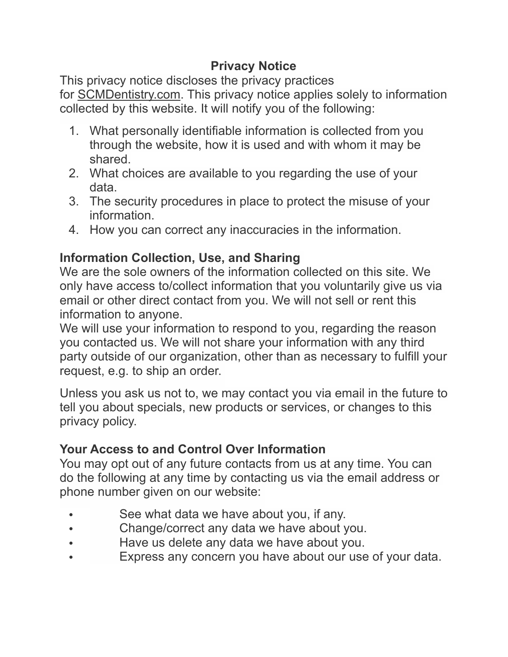## **Privacy Notice**

This privacy notice discloses the privacy practices for SCMDentistry.com. This privacy notice applies solely to information collected by this website. It will notify you of the following:

- 1. What personally identifiable information is collected from you through the website, how it is used and with whom it may be shared.
- 2. What choices are available to you regarding the use of your data.
- 3. The security procedures in place to protect the misuse of your **information**
- 4. How you can correct any inaccuracies in the information.

# **Information Collection, Use, and Sharing**

We are the sole owners of the information collected on this site. We only have access to/collect information that you voluntarily give us via email or other direct contact from you. We will not sell or rent this information to anyone.

We will use your information to respond to you, regarding the reason you contacted us. We will not share your information with any third party outside of our organization, other than as necessary to fulfill your request, e.g. to ship an order.

Unless you ask us not to, we may contact you via email in the future to tell you about specials, new products or services, or changes to this privacy policy.

### **Your Access to and Control Over Information**

You may opt out of any future contacts from us at any time. You can do the following at any time by contacting us via the email address or phone number given on our website:

- See what data we have about you, if any.
- Change/correct any data we have about you.
- Have us delete any data we have about you.
- Express any concern you have about our use of your data.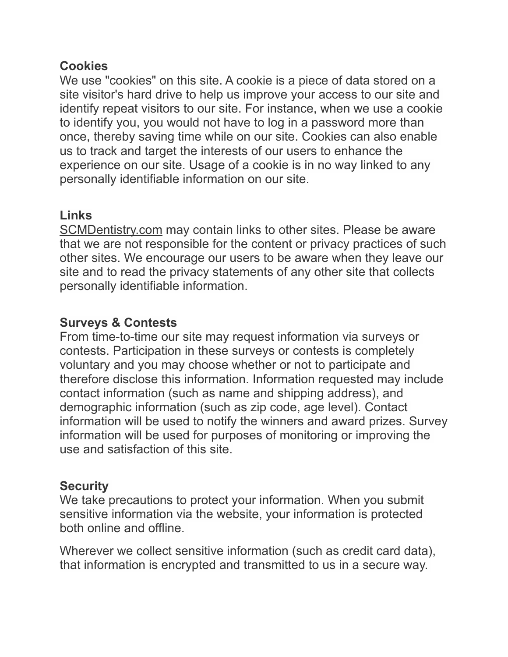#### **Cookies**

We use "cookies" on this site. A cookie is a piece of data stored on a site visitor's hard drive to help us improve your access to our site and identify repeat visitors to our site. For instance, when we use a cookie to identify you, you would not have to log in a password more than once, thereby saving time while on our site. Cookies can also enable us to track and target the interests of our users to enhance the experience on our site. Usage of a cookie is in no way linked to any personally identifiable information on our site.

# **Links**

[SCMDentistry.com](http://SCMDentistry.com) may contain links to other sites. Please be aware that we are not responsible for the content or privacy practices of such other sites. We encourage our users to be aware when they leave our site and to read the privacy statements of any other site that collects personally identifiable information.

# **Surveys & Contests**

From time-to-time our site may request information via surveys or contests. Participation in these surveys or contests is completely voluntary and you may choose whether or not to participate and therefore disclose this information. Information requested may include contact information (such as name and shipping address), and demographic information (such as zip code, age level). Contact information will be used to notify the winners and award prizes. Survey information will be used for purposes of monitoring or improving the use and satisfaction of this site.

### **Security**

We take precautions to protect your information. When you submit sensitive information via the website, your information is protected both online and offline.

Wherever we collect sensitive information (such as credit card data), that information is encrypted and transmitted to us in a secure way.